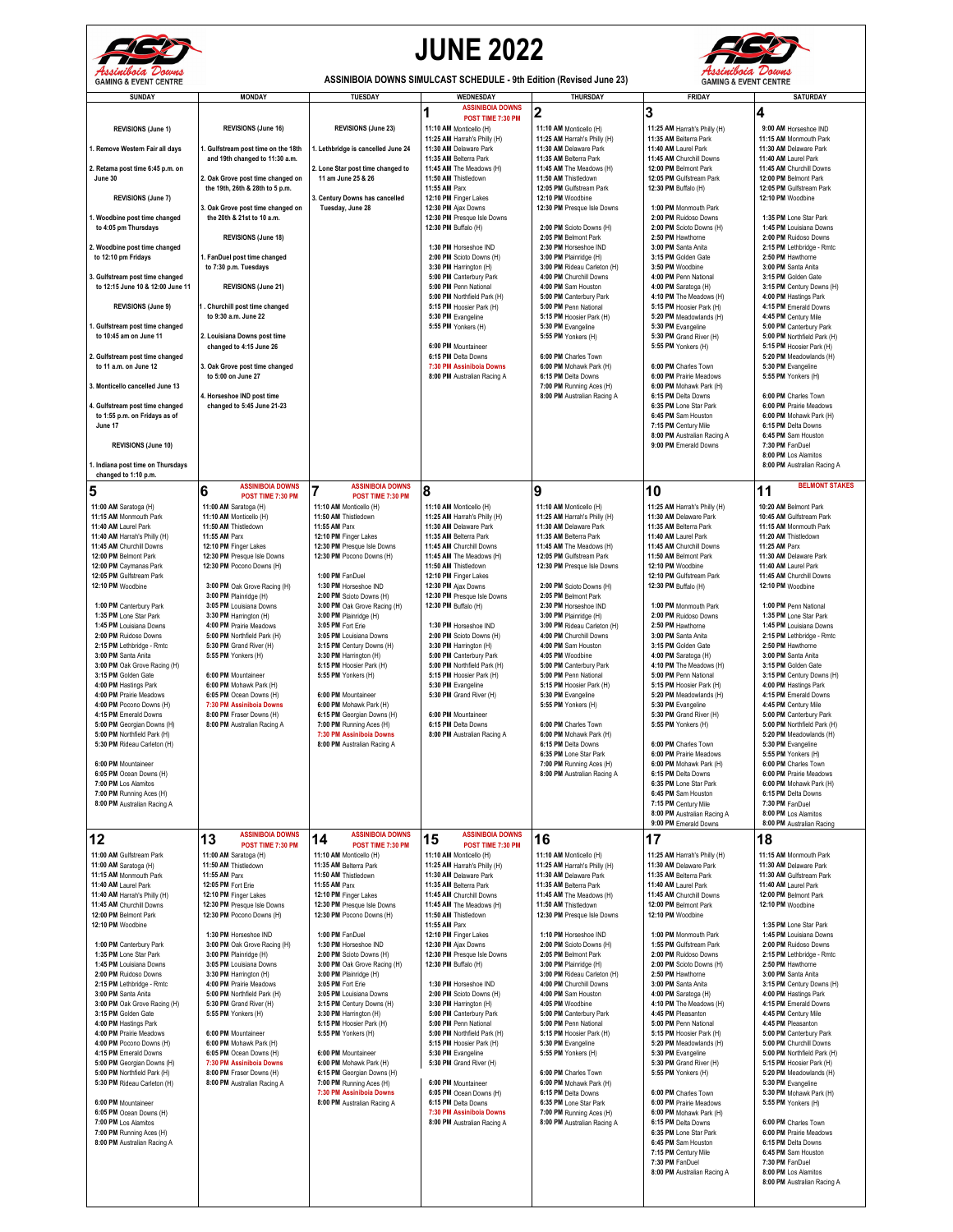

## **JUNE 2022**



**ASSINIBOIA DOWNS SIMULCAST SCHEDULE - 9th Edition (Revised June 23)**

| <b>SUNDAY</b>                                             | <b>MONDAY</b>                                                   | <b>TUESDAY</b>                                           | WEDNESDAY                                               |                                                         | <b>FRIDAY</b>                                        | <b>SATURDAY</b>                                         |
|-----------------------------------------------------------|-----------------------------------------------------------------|----------------------------------------------------------|---------------------------------------------------------|---------------------------------------------------------|------------------------------------------------------|---------------------------------------------------------|
|                                                           |                                                                 |                                                          | <b>ASSINIBOIA DOWNS</b>                                 | THURSDAY                                                |                                                      |                                                         |
|                                                           |                                                                 |                                                          | 1<br>POST TIME 7:30 PM                                  | 2                                                       | 3                                                    | 4                                                       |
| <b>REVISIONS (June 1)</b>                                 | REVISIONS (June 16)                                             | <b>REVISIONS (June 23)</b>                               | 11:10 AM Monticello (H)                                 | 11:10 AM Monticello (H)                                 | 11:25 AM Harrah's Philly (H)                         | 9:00 AM Horseshoe IND                                   |
|                                                           |                                                                 |                                                          | 11:25 AM Harrah's Philly (H)                            | 11:25 AM Harrah's Philly (H)                            | 11:35 AM Belterra Park                               | 11:15 AM Monmouth Park                                  |
| 1. Remove Western Fair all days                           | 1. Gulfstream post time on the 18th                             | 1. Lethbridge is cancelled June 24                       | 11:30 AM Delaware Park                                  | 11:30 AM Delaware Park                                  | 11:40 AM Laurel Park                                 | 11:30 AM Delaware Park                                  |
| 2. Retama post time 6:45 p.m. on                          | and 19th changed to 11:30 a.m.                                  | 2. Lone Star post time changed to                        | 11:35 AM Belterra Park<br>11:45 AM The Meadows (H)      | 11:35 AM Belterra Park<br>11:45 AM The Meadows (H)      | 11:45 AM Churchill Downs<br>12:00 PM Belmont Park    | 11:40 AM Laurel Park<br>11:45 AM Churchill Downs        |
| June 30                                                   | 2. Oak Grove post time changed on                               | 11 am June 25 & 26                                       | 11:50 AM Thistledown                                    | 11:50 AM Thistledown                                    | 12:05 PM Gulfstream Park                             | 12:00 PM Belmont Park                                   |
|                                                           | the 19th, 26th & 28th to 5 p.m.                                 |                                                          | 11:55 AM Parx                                           | 12:05 PM Gulfstream Park                                | 12:30 PM Buffalo (H)                                 | 12:05 PM Gulfstream Park                                |
| <b>REVISIONS (June 7)</b>                                 |                                                                 | 3. Century Downs has cancelled                           | 12:10 PM Finger Lakes                                   | 12:10 PM Woodbine                                       |                                                      | 12:10 PM Woodbine                                       |
| 1. Woodbine post time changed                             | 3. Oak Grove post time changed on<br>the 20th & 21st to 10 a.m. | Tuesday, June 28                                         | 12:30 PM Ajax Downs<br>12:30 PM Presque Isle Downs      | 12:30 PM Presque Isle Downs                             | 1:00 PM Monmouth Park<br>2:00 PM Ruidoso Downs       | 1:35 PM Lone Star Park                                  |
| to 4:05 pm Thursdays                                      |                                                                 |                                                          | 12:30 PM Buffalo (H)                                    | 2:00 PM Scioto Downs (H)                                | 2:00 PM Scioto Downs (H)                             | 1:45 PM Louisiana Downs                                 |
|                                                           | <b>REVISIONS (June 18)</b>                                      |                                                          |                                                         | 2:05 PM Belmont Park                                    | 2:50 PM Hawthorne                                    | 2:00 PM Ruidoso Downs                                   |
| 2. Woodbine post time changed                             |                                                                 |                                                          | 1:30 PM Horseshoe IND                                   | 2:30 PM Horseshoe IND                                   | 3:00 PM Santa Anita                                  | 2:15 PM Lethbridge - Rmtc                               |
| to 12:10 pm Fridays                                       | 1. FanDuel post time changed                                    |                                                          | 2:00 PM Scioto Downs (H)                                | 3:00 PM Plainridge (H)                                  | 3:15 PM Golden Gate                                  | 2:50 PM Hawthorne                                       |
| 3. Gulfstream post time changed                           | to 7:30 p.m. Tuesdays                                           |                                                          | 3:30 PM Harrington (H)<br>5:00 PM Canterbury Park       | 3:00 PM Rideau Carleton (H)<br>4:00 PM Churchill Downs  | 3:50 PM Woodbine<br>4:00 PM Penn National            | 3:00 PM Santa Anita<br>3:15 PM Golden Gate              |
| to 12:15 June 10 & 12:00 June 11                          | REVISIONS (June 21)                                             |                                                          | 5:00 PM Penn National                                   | 4:00 PM Sam Houston                                     | 4:00 PM Saratoga (H)                                 | 3:15 PM Century Downs (H)                               |
|                                                           |                                                                 |                                                          | 5:00 PM Northfield Park (H)                             | 5:00 PM Canterbury Park                                 | 4:10 PM The Meadows (H)                              | 4:00 PM Hastings Park                                   |
| REVISIONS (June 9)                                        | 1. Churchill post time changed                                  |                                                          | 5:15 PM Hoosier Park (H)                                | 5:00 PM Penn National                                   | 5:15 PM Hoosier Park (H)                             | 4:15 PM Emerald Downs                                   |
| 1. Gulfstream post time changed                           | to 9:30 a.m. June 22                                            |                                                          | 5:30 PM Evangeline<br>5:55 PM Yonkers (H)               | 5:15 PM Hoosier Park (H)<br>5:30 PM Evangeline          | 5:20 PM Meadowlands (H)<br>5:30 PM Evangeline        | 4:45 PM Century Mile<br>5:00 PM Canterbury Park         |
| to 10:45 am on June 11                                    | 2. Louisiana Downs post time                                    |                                                          |                                                         | 5:55 PM Yonkers (H)                                     | 5:30 PM Grand River (H)                              | 5:00 PM Northfield Park (H)                             |
|                                                           | changed to 4:15 June 26                                         |                                                          | 6:00 PM Mountaineer                                     |                                                         | 5:55 PM Yonkers (H)                                  | 5:15 PM Hoosier Park (H)                                |
| 2. Gulfstream post time changed                           |                                                                 |                                                          | 6:15 PM Delta Downs                                     | 6:00 PM Charles Town                                    |                                                      | 5:20 PM Meadowlands (H)                                 |
| to 11 a.m. on June 12                                     | 3. Oak Grove post time changed                                  |                                                          | 7:30 PM Assiniboia Downs                                | 6:00 PM Mohawk Park (H)                                 | 6:00 PM Charles Town                                 | 5:30 PM Evangeline                                      |
| 3. Monticello cancelled June 13                           | to 5:00 on June 27                                              |                                                          | 8:00 PM Australian Racing A                             | 6:15 PM Delta Downs<br>7:00 PM Running Aces (H)         | 6:00 PM Prairie Meadows<br>6:00 PM Mohawk Park (H)   | 5:55 PM Yonkers (H)                                     |
|                                                           | 4. Horseshoe IND post time                                      |                                                          |                                                         | 8:00 PM Australian Racing A                             | 6:15 PM Delta Downs                                  | 6:00 PM Charles Town                                    |
| 4. Gulfstream post time changed                           | changed to 5:45 June 21-23                                      |                                                          |                                                         |                                                         | 6:35 PM Lone Star Park                               | 6:00 PM Prairie Meadows                                 |
| to 1:55 p.m. on Fridays as of                             |                                                                 |                                                          |                                                         |                                                         | 6:45 PM Sam Houston                                  | 6:00 PM Mohawk Park (H)                                 |
| June 17                                                   |                                                                 |                                                          |                                                         |                                                         | 7:15 PM Century Mile                                 | 6:15 PM Delta Downs                                     |
| <b>REVISIONS (June 10)</b>                                |                                                                 |                                                          |                                                         |                                                         | 8:00 PM Australian Racing A<br>9:00 PM Emerald Downs | 6:45 PM Sam Houston<br>7:30 PM FanDuel                  |
|                                                           |                                                                 |                                                          |                                                         |                                                         |                                                      | 8:00 PM Los Alamitos                                    |
| 1. Indiana post time on Thursdays                         |                                                                 |                                                          |                                                         |                                                         |                                                      | 8:00 PM Australian Racing A                             |
| changed to 1:10 p.m.                                      |                                                                 |                                                          |                                                         |                                                         |                                                      |                                                         |
| 5                                                         | <b>ASSINIBOIA DOWNS</b><br>6<br>POST TIME 7:30 PM               | <b>ASSINIBOIA DOWNS</b><br>7                             | 8                                                       | 9                                                       | 10                                                   | <b>BELMONT STAKES</b><br>11                             |
| 11:00 AM Saratoga (H)                                     | 11:00 AM Saratoga (H)                                           | POST TIME 7:30 PM<br>11:10 AM Monticello (H)             | 11:10 AM Monticello (H)                                 | 11:10 AM Monticello (H)                                 | 11:25 AM Harrah's Philly (H)                         | 10:20 AM Belmont Park                                   |
| 11:15 AM Monmouth Park                                    | 11:10 AM Monticello (H)                                         | 11:50 AM Thistledown                                     | 11:25 AM Harrah's Philly (H)                            | 11:25 AM Harrah's Philly (H)                            | 11:30 AM Delaware Park                               | 10:45 AM Gulfstream Park                                |
| 11:40 AM Laurel Park                                      | 11:50 AM Thistledown                                            | 11:55 AM Parx                                            | 11:30 AM Delaware Park                                  | 11:30 AM Delaware Park                                  | 11:35 AM Belterra Park                               | 11:15 AM Monmouth Park                                  |
| 11:40 AM Harrah's Philly (H)                              | 11:55 AM Parx                                                   | 12:10 PM Finger Lakes                                    | 11:35 AM Belterra Park                                  | 11:35 AM Belterra Park                                  | 11:40 AM Laurel Park                                 | 11:20 AM Thistledown                                    |
| 11:45 AM Churchill Downs<br>12:00 PM Belmont Park         | 12:10 PM Finger Lakes<br>12:30 PM Presque Isle Downs            | 12:30 PM Presque Isle Downs<br>12:30 PM Pocono Downs (H) | 11:45 AM Churchill Downs<br>11:45 AM The Meadows (H)    | 11:45 AM The Meadows (H)<br>12:05 PM Gulfstream Park    | 11:45 AM Churchill Downs<br>11:50 AM Belmont Park    | 11:25 AM Parx<br>11:30 AM Delaware Park                 |
| 12:00 PM Caymanas Park                                    | 12:30 PM Pocono Downs (H)                                       |                                                          | 11:50 AM Thistledown                                    | 12:30 PM Presque Isle Downs                             | 12:10 PM Woodbine                                    | 11:40 AM Laurel Park                                    |
| 12:05 PM Gulfstream Park                                  |                                                                 | 1:00 PM FanDuel                                          | 12:10 PM Finger Lakes                                   |                                                         | 12:10 PM Gulfstream Park                             | 11:45 AM Churchill Downs                                |
| 12:10 PM Woodbine                                         | 3:00 PM Oak Grove Racing (H)                                    | 1:30 PM Horseshoe IND                                    | 12:30 PM Ajax Downs                                     | 2:00 PM Scioto Downs (H)                                | 12:30 PM Buffalo (H)                                 | 12:10 PM Woodbine                                       |
|                                                           | 3:00 PM Plainridge (H)                                          | 2:00 PM Scioto Downs (H)                                 | 12:30 PM Presque Isle Downs                             | 2:05 PM Belmont Park                                    |                                                      |                                                         |
| 1:00 PM Canterbury Park<br>1:35 PM Lone Star Park         | 3:05 PM Louisiana Downs<br>3:30 PM Harrington (H)               | 3:00 PM Oak Grove Racing (H)<br>3:00 PM Plainridge (H)   | 12:30 PM Buffalo (H)                                    | 2:30 PM Horseshoe IND<br>3:00 PM Plainridge (H)         | 1:00 PM Monmouth Park<br>2:00 PM Ruidoso Downs       | 1:00 PM Penn National<br>1:35 PM Lone Star Park         |
| 1:45 PM Louisiana Downs                                   | 4:00 PM Prairie Meadows                                         | 3:05 PM Fort Erie                                        | 1:30 PM Horseshoe IND                                   | 3:00 PM Rideau Carleton (H)                             | 2:50 PM Hawthorne                                    | 1:45 PM Louisiana Downs                                 |
| 2:00 PM Ruidoso Downs                                     | 5:00 PM Northfield Park (H)                                     | 3:05 PM Louisiana Downs                                  | 2:00 PM Scioto Downs (H)                                | 4:00 PM Churchill Downs                                 | 3:00 PM Santa Anita                                  | 2:15 PM Lethbridge - Rmtc                               |
| 2:15 PM Lethbridge - Rmtc                                 | 5:30 PM Grand River (H)                                         | 3:15 PM Century Downs (H)                                | 3:30 PM Harrington (H)                                  | 4:00 PM Sam Houston                                     | 3:15 PM Golden Gate                                  | 2:50 PM Hawthorne                                       |
| 3:00 PM Santa Anita                                       | 5:55 PM Yonkers (H)                                             | 3:30 PM Harrington (H)                                   | 5:00 PM Canterbury Park                                 | 4:05 PM Woodbine                                        | 4:00 PM Saratoga (H)                                 | 3:00 PM Santa Anita                                     |
| 3:00 PM Oak Grove Racing (H)<br>3:15 PM Golden Gate       | 6:00 PM Mountaineer                                             | 5:15 PM Hoosier Park (H)<br>5:55 PM Yonkers (H)          | 5:00 PM Northfield Park (H)<br>5:15 PM Hoosier Park (H) | 5:00 PM Canterbury Park<br>5:00 PM Penn National        | 4:10 PM The Meadows (H)<br>5:00 PM Penn National     | 3:15 PM Golden Gate<br>3:15 PM Century Downs (H)        |
| 4:00 PM Hastings Park                                     | 6:00 PM Mohawk Park (H)                                         |                                                          | 5:30 PM Evangeline                                      | 5:15 PM Hoosier Park (H)                                | 5:15 PM Hoosier Park (H)                             | 4:00 PM Hastings Park                                   |
| 4:00 PM Prairie Meadows                                   | 6:05 PM Ocean Downs (H)                                         | 6:00 PM Mountaineer                                      | 5:30 PM Grand River (H)                                 | 5:30 PM Evangeline                                      | 5:20 PM Meadowlands (H)                              | 4:15 PM Emerald Downs                                   |
| 4:00 PM Pocono Downs (H)                                  | 7:30 PM Assinibola Downs                                        | 6:00 PM Mohawk Park (H)                                  |                                                         | 5:55 PM Yonkers (H)                                     | 5:30 PM Evangeline                                   | 4:45 PM Century Mile                                    |
| 4:15 PM Emerald Downs                                     | 8:00 PM Fraser Downs (H)                                        | 6:15 PM Georgian Downs (H)                               | 6:00 PM Mountaineer<br>6:15 PM Delta Downs              | 6:00 PM Charles Town                                    | 5:30 PM Grand River (H)                              | 5:00 PM Canterbury Park<br>5:00 PM Northfield Park (H)  |
| 5:00 PM Georgian Downs (H)<br>5:00 PM Northfield Park (H) | 8:00 PM Australian Racing A                                     | 7:00 PM Running Aces (H)<br>7:30 PM Assiniboia Downs     | 8:00 PM Australian Racing A                             | 6:00 PM Mohawk Park (H)                                 | 5:55 PM Yonkers (H)                                  | 5:20 PM Meadowlands (H)                                 |
| 5:30 PM Rideau Carleton (H)                               |                                                                 | 8:00 PM Australian Racing A                              |                                                         | 6:15 PM Delta Downs                                     | 6:00 PM Charles Town                                 | 5:30 PM Evangeline                                      |
|                                                           |                                                                 |                                                          |                                                         | 6:35 PM Lone Star Park                                  | 6:00 PM Prairie Meadows                              | 5:55 PM Yonkers (H)                                     |
| 6:00 PM Mountaineer                                       |                                                                 |                                                          |                                                         | 7:00 PM Running Aces (H)                                | 6:00 PM Mohawk Park (H)                              | 6:00 PM Charles Town                                    |
| 6:05 PM Ocean Downs (H)<br>7:00 PM Los Alamitos           |                                                                 |                                                          |                                                         | 8:00 PM Australian Racing A                             | 6:15 PM Delta Downs<br>6:35 PM Lone Star Park        | 6:00 PM Prairie Meadows<br>6:00 PM Mohawk Park (H)      |
| 7:00 PM Running Aces (H)                                  |                                                                 |                                                          |                                                         |                                                         | 6:45 PM Sam Houston                                  | 6:15 PM Delta Downs                                     |
| 8:00 PM Australian Racing A                               |                                                                 |                                                          |                                                         |                                                         | 7:15 PM Century Mile                                 | 7:30 PM FanDuel                                         |
|                                                           |                                                                 |                                                          |                                                         |                                                         | 8:00 PM Australian Racing A                          | 8:00 PM Los Alamitos                                    |
|                                                           |                                                                 |                                                          |                                                         |                                                         | 9:00 PM Emerald Downs                                | 8:00 PM Australian Racing                               |
| 12                                                        | <b>ASSINIBOIA DOWNS</b><br>13<br>POST TIME 7:30 PM              | <b>ASSINIBOIA DOWNS</b><br>14<br>POST TIME 7:30 PM       | <b>ASSINIBOIA DOWNS</b><br>15<br>POST TIME 7:30 PM      | 16                                                      | 17                                                   | 18                                                      |
| 11:00 AM Gulfstream Park                                  | 11:00 AM Saratoga (H)                                           | 11:10 AM Monticello (H)                                  | 11:10 AM Monticello (H)                                 | 11:10 AM Monticello (H)                                 | 11:25 AM Harrah's Philly (H)                         | 11:15 AM Monmouth Park                                  |
| 11:00 AM Saratoga (H)                                     | 11:50 AM Thistledown                                            | 11:35 AM Belterra Park                                   | 11:25 AM Harrah's Philly (H)                            | 11:25 AM Harrah's Philly (H)                            | 11:30 AM Delaware Park                               | 11:30 AM Delaware Park                                  |
| 11:15 AM Monmouth Park                                    | 11:55 AM Parx                                                   | 11:50 AM Thistledown                                     | 11:30 AM Delaware Park                                  | 11:30 AM Delaware Park                                  | 11:35 AM Belterra Park                               | 11:30 AM Gulfstream Park                                |
| 11:40 AM Laurel Park                                      | 12:05 PM Fort Erie                                              | 11:55 AM Parx                                            | 11:35 AM Belterra Park                                  | 11:35 AM Belterra Park                                  | 11:40 AM Laurel Park                                 | 11:40 AM Laurel Park                                    |
| 11:40 AM Harrah's Philly (H)<br>11:45 AM Churchill Downs  | 12:10 PM Finger Lakes<br>12:30 PM Presque Isle Downs            | 12:10 PM Finger Lakes<br>12:30 PM Presque Isle Downs     | 11:45 AM Churchill Downs<br>11:45 AM The Meadows (H)    | 11:45 AM The Meadows (H)<br>11:50 AM Thistledown        | 11:45 AM Churchill Downs<br>12:00 PM Belmont Park    | 12:00 PM Belmont Park<br>12:10 PM Woodbine              |
| 12:00 PM Belmont Park                                     | 12:30 PM Pocono Downs (H)                                       | 12:30 PM Pocono Downs (H)                                | 11:50 AM Thistledown                                    | 12:30 PM Presque Isle Downs                             | 12:10 PM Woodbine                                    |                                                         |
| 12:10 PM Woodbine                                         |                                                                 |                                                          | 11:55 AM Parx                                           |                                                         |                                                      | 1:35 PM Lone Star Park                                  |
|                                                           | 1:30 PM Horseshoe IND                                           | 1:00 PM FanDuel                                          | 12:10 PM Finger Lakes                                   | 1:10 PM Horseshoe IND                                   | 1:00 PM Monmouth Park                                | 1:45 PM Louisiana Downs                                 |
| 1:00 PM Canterbury Park                                   | 3:00 PM Oak Grove Racing (H)                                    | 1:30 PM Horseshoe IND                                    | 12:30 PM Ajax Downs                                     | 2:00 PM Scioto Downs (H)                                | 1:55 PM Gulfstream Park                              | 2:00 PM Ruidoso Downs                                   |
| 1:35 PM Lone Star Park<br>1:45 PM Louisiana Downs         | 3:00 PM Plainridge (H)<br>3:05 PM Louisiana Downs               | 2:00 PM Scioto Downs (H)<br>3:00 PM Oak Grove Racing (H) | 12:30 PM Presque Isle Downs<br>12:30 PM Buffalo (H)     | 2:05 PM Belmont Park<br>3:00 PM Plainridge (H)          | 2:00 PM Ruidoso Downs<br>2:00 PM Scioto Downs (H)    | 2:15 PM Lethbridge - Rmtc<br>2:50 PM Hawthorne          |
| 2:00 PM Ruidoso Downs                                     | 3:30 PM Harrington (H)                                          | 3:00 PM Plainridge (H)                                   |                                                         | 3:00 PM Rideau Carleton (H)                             | 2:50 PM Hawthorne                                    | 3:00 PM Santa Anita                                     |
| 2:15 PM Lethbridge - Rmtc                                 | 4:00 PM Prairie Meadows                                         | 3:05 PM Fort Erie                                        | 1:30 PM Horseshoe IND                                   | 4:00 PM Churchill Downs                                 | 3:00 PM Santa Anita                                  | 3:15 PM Century Downs (H)                               |
| 3:00 PM Santa Anita                                       | 5:00 PM Northfield Park (H)                                     | 3:05 PM Louisiana Downs                                  | 2:00 PM Scioto Downs (H)                                | 4:00 PM Sam Houston                                     | 4:00 PM Saratoga (H)                                 | 4:00 PM Hastings Park                                   |
| 3:00 PM Oak Grove Racing (H)<br>3:15 PM Golden Gate       | 5:30 PM Grand River (H)<br>5:55 PM Yonkers (H)                  | 3:15 PM Century Downs (H)<br>3:30 PM Harrington (H)      | 3:30 PM Harrington (H)<br>5:00 PM Canterbury Park       | 4:05 PM Woodbine<br>5:00 PM Canterbury Park             | 4:10 PM The Meadows (H)<br>4:45 PM Pleasanton        | 4:15 PM Emerald Downs<br>4:45 PM Century Mile           |
| 4:00 PM Hastings Park                                     |                                                                 | 5:15 PM Hoosier Park (H)                                 | 5:00 PM Penn National                                   | 5:00 PM Penn National                                   | 5:00 PM Penn National                                | 4:45 PM Pleasanton                                      |
| 4:00 PM Prairie Meadows                                   | 6:00 PM Mountaineer                                             | 5:55 PM Yonkers (H)                                      | 5:00 PM Northfield Park (H)                             | 5:15 PM Hoosier Park (H)                                | 5:15 PM Hoosier Park (H)                             | 5:00 PM Canterbury Park                                 |
| 4:00 PM Pocono Downs (H)                                  | 6:00 PM Mohawk Park (H)                                         |                                                          | 5:15 PM Hoosier Park (H)                                | 5:30 PM Evangeline                                      | 5:20 PM Meadowlands (H)                              | 5:00 PM Churchill Downs                                 |
| 4:15 PM Emerald Downs<br>5:00 PM Georgian Downs (H)       | 6:05 PM Ocean Downs (H)<br>7:30 PM Assinibola Downs             | 6:00 PM Mountaineer<br>6:00 PM Mohawk Park (H)           | 5:30 PM Evangeline<br>5:30 PM Grand River (H)           | 5:55 PM Yonkers (H)                                     | 5:30 PM Evangeline<br>5:30 PM Grand River (H)        | 5:00 PM Northfield Park (H)<br>5:15 PM Hoosier Park (H) |
| 5:00 PM Northfield Park (H)                               | 8:00 PM Fraser Downs (H)                                        | 6:15 PM Georgian Downs (H)                               |                                                         | 6:00 PM Charles Town                                    | 5:55 PM Yonkers (H)                                  | 5:20 PM Meadowlands (H)                                 |
| 5:30 PM Rideau Carleton (H)                               | 8:00 PM Australian Racing A                                     | 7:00 PM Running Aces (H)                                 | 6:00 PM Mountaineer                                     | 6:00 PM Mohawk Park (H)                                 |                                                      | 5:30 PM Evangeline                                      |
|                                                           |                                                                 | 7:30 PM Assiniboia Downs                                 | 6:05 PM Ocean Downs (H)                                 | 6:15 PM Delta Downs                                     | 6:00 PM Charles Town                                 | 5:30 PM Mohawk Park (H)                                 |
| 6:00 PM Mountaineer                                       |                                                                 | 8:00 PM Australian Racing A                              | 6:15 PM Delta Downs                                     | 6:35 PM Lone Star Park                                  | 6:00 PM Prairie Meadows                              | 5:55 PM Yonkers (H)                                     |
| 6:05 PM Ocean Downs (H)<br>7:00 PM Los Alamitos           |                                                                 |                                                          | 7:30 PM Assiniboia Downs<br>8:00 PM Australian Racing A | 7:00 PM Running Aces (H)<br>8:00 PM Australian Racing A | 6:00 PM Mohawk Park (H)<br>6:15 PM Delta Downs       | 6:00 PM Charles Town                                    |
| 7:00 PM Running Aces (H)                                  |                                                                 |                                                          |                                                         |                                                         | 6:35 PM Lone Star Park                               | 6:00 PM Prairie Meadows                                 |
| 8:00 PM Australian Racing A                               |                                                                 |                                                          |                                                         |                                                         | 6:45 PM Sam Houston                                  | 6:15 PM Delta Downs                                     |
|                                                           |                                                                 |                                                          |                                                         |                                                         | 7:15 PM Century Mile                                 | 6:45 PM Sam Houston                                     |
|                                                           |                                                                 |                                                          |                                                         |                                                         | 7:30 PM FanDuel                                      | 7:30 PM FanDuel                                         |
|                                                           |                                                                 |                                                          |                                                         |                                                         | 8:00 PM Australian Racing A                          | 8:00 PM Los Alamitos<br>8:00 PM Australian Racing A     |
|                                                           |                                                                 |                                                          |                                                         |                                                         |                                                      |                                                         |